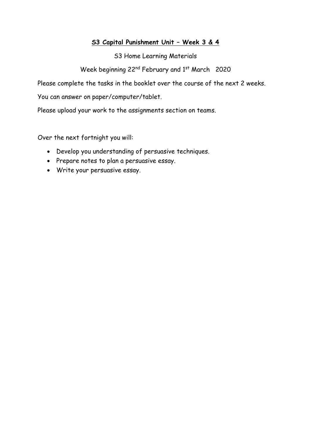#### **S3 Capital Punishment Unit – Week 3 & 4**

S3 Home Learning Materials

Week beginning 22<sup>nd</sup> February and 1<sup>st</sup> March 2020

Please complete the tasks in the booklet over the course of the next 2 weeks.

You can answer on paper/computer/tablet.

Please upload your work to the assignments section on teams.

Over the next fortnight you will:

- Develop you understanding of persuasive techniques.
- Prepare notes to plan a persuasive essay.
- Write your persuasive essay.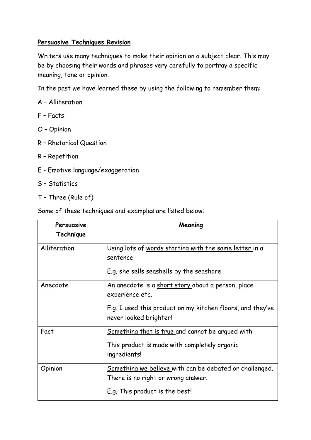## **Persuasive Techniques Revision**

Writers use many techniques to make their opinion on a subject clear. This may be by choosing their words and phrases very carefully to portray a specific meaning, tone or opinion.

In the past we have learned these by using the following to remember them:

- A Alliteration
- F Facts
- O Opinion
- R Rhetorical Question
- R Repetition
- E Emotive language/exaggeration
- S Statistics
- T Three (Rule of)

Some of these techniques and examples are listed below:

| Persuasive<br>Technique | Meaning                                                                                       |
|-------------------------|-----------------------------------------------------------------------------------------------|
| Alliteration            | Using lots of words starting with the same letter in a<br>sentence                            |
|                         | E.g. she sells seashells by the seashore                                                      |
| Anecdote                | An anecdote is a short story about a person, place<br>experience etc.                         |
|                         | E.g. I used this product on my kitchen floors, and they've<br>never looked brighter!          |
| Fact                    | Something that is true and cannot be arqued with                                              |
|                         | This product is made with completely organic<br>ingredients!                                  |
| Opinion                 | Something we believe with can be debated or challenged.<br>There is no right or wrong answer. |
|                         | E.g. This product is the best!                                                                |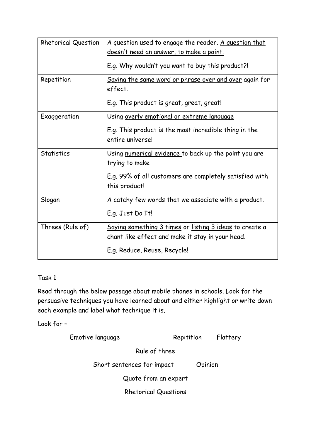| <b>Rhetorical Question</b> | A question used to engage the reader. A question that<br>doesn't need an answer, to make a point.<br>E.g. Why wouldn't you want to buy this product?! |  |  |
|----------------------------|-------------------------------------------------------------------------------------------------------------------------------------------------------|--|--|
| Repetition                 | Saying the same word or phrase over and over again for<br>effect.<br>E.g. This product is great, great, great!                                        |  |  |
| Exaggeration               | Using overly emotional or extreme language<br>E.g. This product is the most incredible thing in the<br>entire universe!                               |  |  |
| <b>Statistics</b>          | Using numerical evidence to back up the point you are<br>trying to make<br>E.g. 99% of all customers are completely satisfied with<br>this product!   |  |  |
| Slogan                     | A catchy few words that we associate with a product.<br>E.g. Just Do It!                                                                              |  |  |
| Threes (Rule of)           | Saying something 3 times or listing 3 ideas to create a<br>chant like effect and make it stay in your head.<br>E.g. Reduce, Reuse, Recycle!           |  |  |

# Task 1

Read through the below passage about mobile phones in schools. Look for the persuasive techniques you have learned about and either highlight or write down each example and label what technique it is.

Look for –

| Emotive language            | Repitition | Flattery |
|-----------------------------|------------|----------|
| Rule of three               |            |          |
| Short sentences for impact  |            | Opinion  |
| Quote from an expert        |            |          |
| <b>Rhetorical Questions</b> |            |          |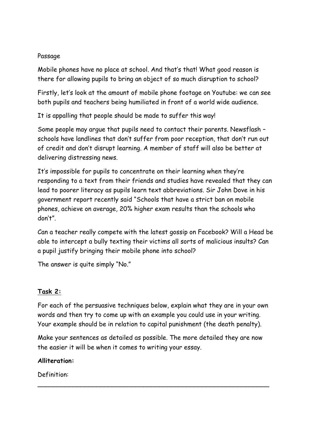#### Passage

Mobile phones have no place at school. And that's that! What good reason is there for allowing pupils to bring an object of so much disruption to school?

Firstly, let's look at the amount of mobile phone footage on Youtube: we can see both pupils and teachers being humiliated in front of a world wide audience.

It is appalling that people should be made to suffer this way!

Some people may argue that pupils need to contact their parents. Newsflash – schools have landlines that don't suffer from poor reception, that don't run out of credit and don't disrupt learning. A member of staff will also be better at delivering distressing news.

It's impossible for pupils to concentrate on their learning when they're responding to a text from their friends and studies have revealed that they can lead to poorer literacy as pupils learn text abbreviations. Sir John Dove in his government report recently said "Schools that have a strict ban on mobile phones, achieve on average, 20% higher exam results than the schools who don't".

Can a teacher really compete with the latest gossip on Facebook? Will a Head be able to intercept a bully texting their victims all sorts of malicious insults? Can a pupil justify bringing their mobile phone into school?

The answer is quite simply "No."

### **Task 2:**

For each of the persuasive techniques below, explain what they are in your own words and then try to come up with an example you could use in your writing. Your example should be in relation to capital punishment (the death penalty).

Make your sentences as detailed as possible. The more detailed they are now the easier it will be when it comes to writing your essay.

\_\_\_\_\_\_\_\_\_\_\_\_\_\_\_\_\_\_\_\_\_\_\_\_\_\_\_\_\_\_\_\_\_\_\_\_\_\_\_\_\_\_\_\_\_\_\_\_\_\_\_\_\_\_\_\_\_\_\_

### **Alliteration:**

Definition: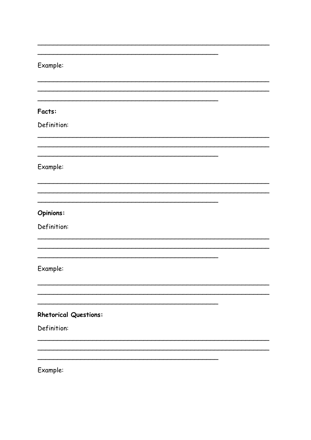### Example:

Facts:

Definition:

Example:

#### Opinions:

Definition:

Example:

# **Rhetorical Questions:**

Definition:

Example:

 $\mathcal{L}^{\text{max}}(\mathcal{L}^{\text{max}})$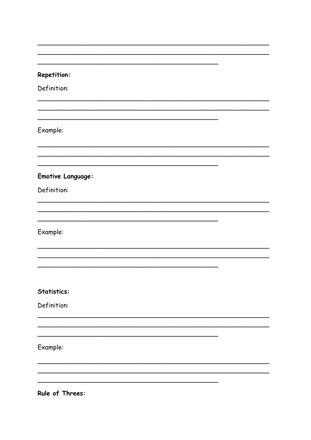#### **Repetition:**

Definition:

# Example:

#### **Emotive Language:**

Definition:

Example:

## **Statistics:**

Definition:

Example:

Rule of Threes: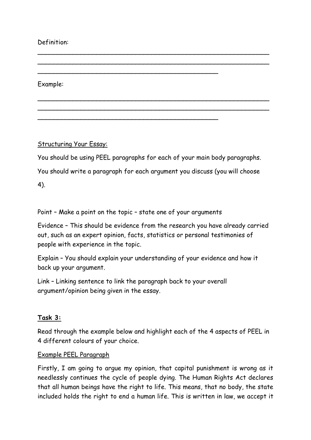### Definition:

Example:

Structuring Your Essay:

You should be using PEEL paragraphs for each of your main body paragraphs.

\_\_\_\_\_\_\_\_\_\_\_\_\_\_\_\_\_\_\_\_\_\_\_\_\_\_\_\_\_\_\_\_\_\_\_\_\_\_\_\_\_\_\_\_\_\_\_\_\_\_\_\_\_\_\_\_\_\_\_ \_\_\_\_\_\_\_\_\_\_\_\_\_\_\_\_\_\_\_\_\_\_\_\_\_\_\_\_\_\_\_\_\_\_\_\_\_\_\_\_\_\_\_\_\_\_\_\_\_\_\_\_\_\_\_\_\_\_\_

\_\_\_\_\_\_\_\_\_\_\_\_\_\_\_\_\_\_\_\_\_\_\_\_\_\_\_\_\_\_\_\_\_\_\_\_\_\_\_\_\_\_\_\_\_\_\_\_\_\_\_\_\_\_\_\_\_\_\_ \_\_\_\_\_\_\_\_\_\_\_\_\_\_\_\_\_\_\_\_\_\_\_\_\_\_\_\_\_\_\_\_\_\_\_\_\_\_\_\_\_\_\_\_\_\_\_\_\_\_\_\_\_\_\_\_\_\_\_

\_\_\_\_\_\_\_\_\_\_\_\_\_\_\_\_\_\_\_\_\_\_\_\_\_\_\_\_\_\_\_\_\_\_\_\_\_\_\_\_\_\_\_\_\_\_

\_\_\_\_\_\_\_\_\_\_\_\_\_\_\_\_\_\_\_\_\_\_\_\_\_\_\_\_\_\_\_\_\_\_\_\_\_\_\_\_\_\_\_\_\_\_

You should write a paragraph for each argument you discuss (you will choose

4).

Point – Make a point on the topic – state one of your arguments

Evidence – This should be evidence from the research you have already carried out, such as an expert opinion, facts, statistics or personal testimonies of people with experience in the topic.

Explain – You should explain your understanding of your evidence and how it back up your argument.

Link – Linking sentence to link the paragraph back to your overall argument/opinion being given in the essay.

### **Task 3:**

Read through the example below and highlight each of the 4 aspects of PEEL in 4 different colours of your choice.

### Example PEEL Paragraph

Firstly, I am going to argue my opinion, that capital punishment is wrong as it needlessly continues the cycle of people dying. The Human Rights Act declares that all human beings have the right to life. This means, that no body, the state included holds the right to end a human life. This is written in law, we accept it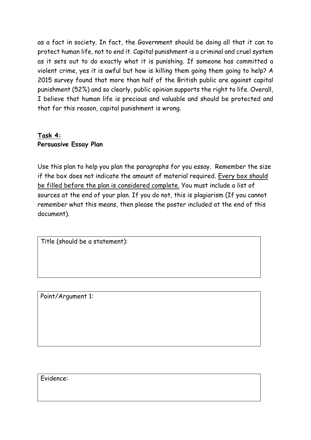as a fact in society. In fact, the Government should be doing all that it can to protect human life, not to end it. Capital punishment is a criminal and cruel system as it sets out to do exactly what it is punishing. If someone has committed a violent crime, yes it is awful but how is killing them going them going to help? A 2015 survey found that more than half of the British public are against capital punishment (52%) and so clearly, public opinion supports the right to life. Overall, I believe that human life is precious and valuable and should be protected and that for this reason, capital punishment is wrong.

# **Task 4: Persuasive Essay Plan**

Use this plan to help you plan the paragraphs for you essay. Remember the size if the box does not indicate the amount of material required. Every box should be filled before the plan is considered complete. You must include a list of sources at the end of your plan. If you do not, this is plagiarism (If you cannot remember what this means, then please the poster included at the end of this document).

Title (should be a statement):

Point/Argument 1:

Evidence: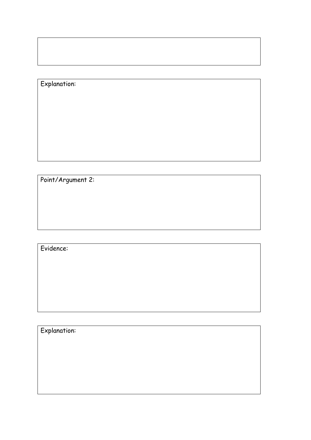# Explanation:

Point/Argument 2:

# Evidence:

Explanation: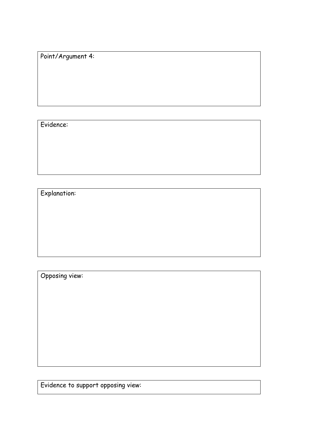Point/Argument 4:

Evidence:

Explanation:

Opposing view:

Evidence to support opposing view: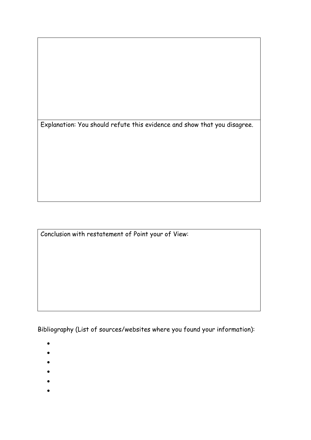Explanation: You should refute this evidence and show that you disagree.

Conclusion with restatement of Point your of View:

Bibliography (List of sources/websites where you found your information):

- •
- •
- 
- •
- •
- •
- •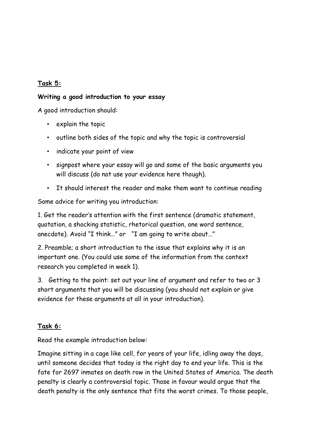## **Task 5:**

#### **Writing a good introduction to your essay**

A good introduction should:

- explain the topic
- outline both sides of the topic and why the topic is controversial
- indicate your point of view
- signpost where your essay will go and some of the basic arguments you will discuss (do not use your evidence here though).
- It should interest the reader and make them want to continue reading

Some advice for writing you introduction:

1. Get the reader's attention with the first sentence (dramatic statement, quotation, a shocking statistic, rhetorical question, one word sentence, anecdote). Avoid "I think…" or "I am going to write about…"

2. Preamble; a short introduction to the issue that explains why it is an important one. (You could use some of the information from the context research you completed in week 1).

3. Getting to the point: set out your line of argument and refer to two or 3 short arguments that you will be discussing (you should not explain or give evidence for these arguments at all in your introduction).

#### **Task 6:**

Read the example introduction below:

Imagine sitting in a cage like cell, for years of your life, idling away the days, until someone decides that today is the right day to end your life. This is the fate for 2697 inmates on death row in the United States of America. The death penalty is clearly a controversial topic. Those in favour would argue that the death penalty is the only sentence that fits the worst crimes. To those people,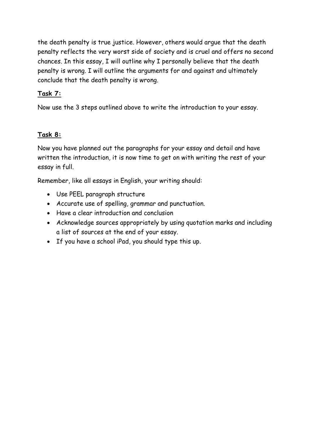the death penalty is true justice. However, others would argue that the death penalty reflects the very worst side of society and is cruel and offers no second chances. In this essay, I will outline why I personally believe that the death penalty is wrong. I will outline the arguments for and against and ultimately conclude that the death penalty is wrong.

## **Task 7:**

Now use the 3 steps outlined above to write the introduction to your essay.

## **Task 8:**

Now you have planned out the paragraphs for your essay and detail and have written the introduction, it is now time to get on with writing the rest of your essay in full.

Remember, like all essays in English, your writing should:

- Use PEEL paragraph structure
- Accurate use of spelling, grammar and punctuation.
- Have a clear introduction and conclusion
- Acknowledge sources appropriately by using quotation marks and including a list of sources at the end of your essay.
- If you have a school iPad, you should type this up.